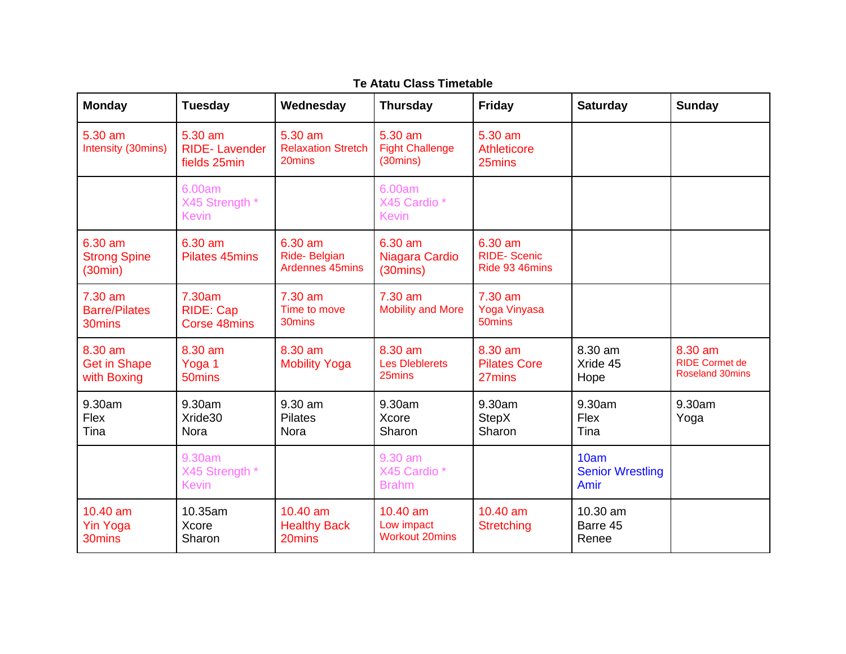| <b>Monday</b>                                 | <b>Tuesday</b>                                    | Wednesday                                      | <b>Thursday</b>                                           | <b>Friday</b>                                   | <b>Saturday</b>                         | <b>Sunday</b>                                              |
|-----------------------------------------------|---------------------------------------------------|------------------------------------------------|-----------------------------------------------------------|-------------------------------------------------|-----------------------------------------|------------------------------------------------------------|
| 5.30 am<br>Intensity (30mins)                 | 5.30 am<br><b>RIDE-Lavender</b><br>fields 25min   | 5.30 am<br><b>Relaxation Stretch</b><br>20mins | 5.30 am<br><b>Fight Challenge</b><br>(30 <sub>min</sub> ) | 5.30 am<br>Athleticore<br>25mins                |                                         |                                                            |
|                                               | 6.00am<br>X45 Strength *<br><b>Kevin</b>          |                                                | 6.00am<br>X45 Cardio *<br><b>Kevin</b>                    |                                                 |                                         |                                                            |
| 6.30 am<br><b>Strong Spine</b><br>(30min)     | 6.30 am<br><b>Pilates 45mins</b>                  | 6.30 am<br>Ride-Belgian<br>Ardennes 45mins     | 6.30 am<br>Niagara Cardio<br>$(30 \text{mins})$           | 6.30 am<br><b>RIDE-Scenic</b><br>Ride 93 46mins |                                         |                                                            |
| $7.30$ am<br><b>Barre/Pilates</b><br>30mins   | 7.30am<br><b>RIDE: Cap</b><br><b>Corse 48mins</b> | 7.30 am<br>Time to move<br>30mins              | 7.30 am<br><b>Mobility and More</b>                       | 7.30 am<br>Yoga Vinyasa<br>50 <sub>mins</sub>   |                                         |                                                            |
| 8.30 am<br><b>Get in Shape</b><br>with Boxing | 8.30 am<br>Yoga 1<br>50mins                       | 8.30 am<br><b>Mobility Yoga</b>                | 8.30 am<br><b>Les Dieblerets</b><br>25mins                | 8.30 am<br><b>Pilates Core</b><br>27mins        | 8.30 am<br>Xride 45<br>Hope             | 8.30 am<br><b>RIDE Cormet de</b><br><b>Roseland 30mins</b> |
| 9.30am<br>Flex<br>Tina                        | 9.30am<br>Xride30<br>Nora                         | $9.30$ am<br><b>Pilates</b><br>Nora            | 9.30am<br>Xcore<br>Sharon                                 | 9.30am<br><b>StepX</b><br>Sharon                | 9.30am<br>Flex<br>Tina                  | 9.30am<br>Yoga                                             |
|                                               | 9.30am<br>X45 Strength *<br><b>Kevin</b>          |                                                | 9.30 am<br>X45 Cardio*<br><b>Brahm</b>                    |                                                 | 10am<br><b>Senior Wrestling</b><br>Amir |                                                            |
| 10.40 am<br><b>Yin Yoga</b><br>30mins         | 10.35am<br>Xcore<br>Sharon                        | 10.40 am<br><b>Healthy Back</b><br>20mins      | 10.40 am<br>Low impact<br><b>Workout 20mins</b>           | 10.40 am<br><b>Stretching</b>                   | 10.30 am<br>Barre 45<br>Renee           |                                                            |

## **Te Atatu Class Timetable**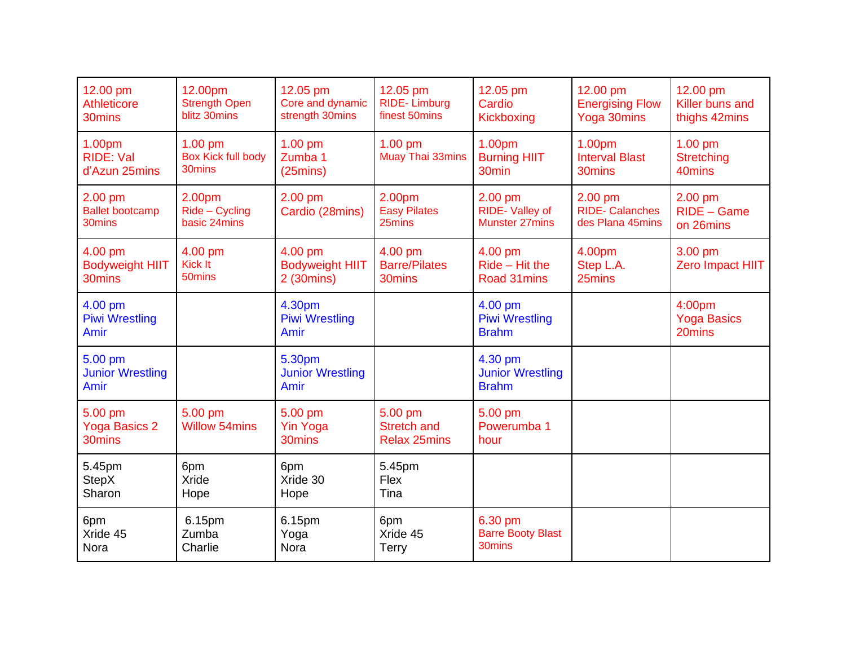| 12.00 pm<br><b>Athleticore</b><br>30mins        | 12.00pm<br><b>Strength Open</b><br>blitz 30mins  | 12.05 pm<br>Core and dynamic<br>strength 30mins  | 12.05 pm<br><b>RIDE-Limburg</b><br>finest 50mins     | 12.05 pm<br>Cardio<br>Kickboxing                   | 12.00 pm<br><b>Energising Flow</b><br>Yoga 30mins      | 12.00 pm<br>Killer buns and<br>thighs 42mins |
|-------------------------------------------------|--------------------------------------------------|--------------------------------------------------|------------------------------------------------------|----------------------------------------------------|--------------------------------------------------------|----------------------------------------------|
| 1.00pm<br><b>RIDE: Val</b><br>d'Azun 25mins     | $1.00$ pm<br><b>Box Kick full body</b><br>30mins | 1.00 pm<br>Zumba 1<br>(25 <sub>mins</sub> )      | $1.00$ pm<br>Muay Thai 33mins                        | 1.00pm<br><b>Burning HIIT</b><br>30 <sub>min</sub> | 1.00pm<br><b>Interval Blast</b><br>30mins              | $1.00$ pm<br><b>Stretching</b><br>40mins     |
| 2.00 pm<br><b>Ballet bootcamp</b><br>30mins     | 2.00pm<br>Ride - Cycling<br>basic 24mins         | 2.00 pm<br>Cardio (28mins)                       | 2.00pm<br><b>Easy Pilates</b><br>25mins              | $2.00$ pm<br>RIDE-Valley of<br>Munster 27mins      | $2.00$ pm<br><b>RIDE-Calanches</b><br>des Plana 45mins | $2.00$ pm<br>RIDE - Game<br>on 26mins        |
| 4.00 pm<br><b>Bodyweight HIIT</b><br>30mins     | 4.00 pm<br>Kick It<br>50mins                     | 4.00 pm<br><b>Bodyweight HIIT</b><br>2 (30mins)  | 4.00 pm<br><b>Barre/Pilates</b><br>30mins            | 4.00 pm<br>$Ride - Hit$ the<br>Road 31mins         | 4.00pm<br>Step L.A.<br>25mins                          | 3.00 pm<br>Zero Impact HIIT                  |
| 4.00 pm<br><b>Piwi Wrestling</b><br><b>Amir</b> |                                                  | 4.30pm<br><b>Piwi Wrestling</b><br>Amir          |                                                      | 4.00 pm<br><b>Piwi Wrestling</b><br><b>Brahm</b>   |                                                        | 4:00pm<br><b>Yoga Basics</b><br>20mins       |
| 5.00 pm<br><b>Junior Wrestling</b><br>Amir      |                                                  | 5.30pm<br><b>Junior Wrestling</b><br>Amir        |                                                      | 4.30 pm<br><b>Junior Wrestling</b><br><b>Brahm</b> |                                                        |                                              |
| 5.00 pm<br><b>Yoga Basics 2</b><br>30mins       | 5.00 pm<br><b>Willow 54mins</b>                  | 5.00 pm<br><b>Yin Yoga</b><br>30 <sub>mins</sub> | 5.00 pm<br><b>Stretch and</b><br><b>Relax 25mins</b> | 5.00 pm<br>Powerumba 1<br>hour                     |                                                        |                                              |
| 5.45pm<br><b>StepX</b><br>Sharon                | 6pm<br><b>Xride</b><br>Hope                      | 6pm<br>Xride 30<br>Hope                          | 5.45pm<br>Flex<br>Tina                               |                                                    |                                                        |                                              |
| 6pm<br>Xride 45<br>Nora                         | 6.15pm<br>Zumba<br>Charlie                       | 6.15pm<br>Yoga<br>Nora                           | 6pm<br>Xride 45<br><b>Terry</b>                      | 6.30 pm<br><b>Barre Booty Blast</b><br>30mins      |                                                        |                                              |